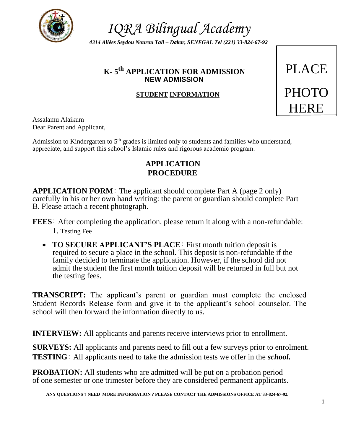

*4314 Allées Seydou Nourou Tall – Dakar, SENEGAL Tel (221) 33-824-67-92*

# **K- 5 th APPLICATION FOR ADMISSION** PLACE **NEW ADMISSION**

# **STUDENT INFORMATION**



Assalamu Alaikum Dear Parent and Applicant,

Admission to Kindergarten to  $5<sup>th</sup>$  grades is limited only to students and families who understand, appreciate, and support this school's Islamic rules and rigorous academic program.

# **APPLICATION PROCEDURE**

**APPLICATION FORM**: The applicant should complete Part A (page 2 only) carefully in his or her own hand writing: the parent or guardian should complete Part B. Please attach a recent photograph.

**FEES**: After completing the application, please return it along with a non-refundable: 1. Testing Fee

 **TO SECURE APPLICANT'S PLACE**: First month tuition deposit is required to secure a place in the school. This deposit is non-refundable if the family decided to terminate the application. However, if the school did not admit the student the first month tuition deposit will be returned in full but not the testing fees.

**TRANSCRIPT:** The applicant's parent or guardian must complete the enclosed Student Records Release form and give it to the applicant's school counselor. The school will then forward the information directly to us.

**INTERVIEW:** All applicants and parents receive interviews prior to enrollment.

**SURVEYS:** All applicants and parents need to fill out a few surveys prior to enrolment. **TESTING**: All applicants need to take the admission tests we offer in the *school.*

**PROBATION:** All students who are admitted will be put on a probation period of one semester or one trimester before they are considered permanent applicants.

**ANY QUESTIONS ? NEED MORE INFORMATION ? PLEASE CONTACT THE ADMISSIONS OFFICE AT 33-824-67-92.**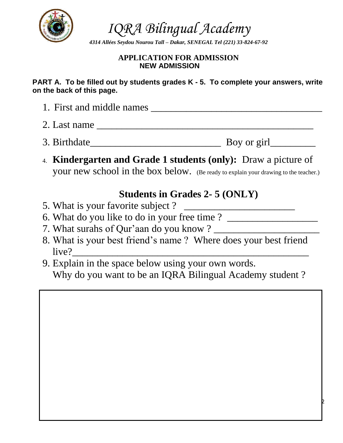

*4314 Allées Seydou Nourou Tall – Dakar, SENEGAL Tel (221) 33-824-67-92*

# **APPLICATION FOR ADMISSION NEW ADMISSION**

**PART A. To be filled out by students grades K - 5. To complete your answers, write on the back of this page.**

- 1. First and middle names \_\_\_\_\_\_\_\_\_\_\_\_\_\_\_\_\_\_\_\_\_\_\_\_\_\_\_\_\_\_\_\_\_\_ 2. Last name \_\_\_\_\_\_\_\_\_\_\_\_\_\_\_\_\_\_\_\_\_\_\_\_\_\_\_\_\_\_\_\_\_\_\_\_\_\_\_\_\_\_\_
- 3. Birthdate\_\_\_\_\_\_\_\_\_\_\_\_\_\_\_\_\_\_\_\_\_\_\_\_\_\_ Boy or girl\_\_\_\_\_\_\_\_\_
- 4. **Kindergarten and Grade 1 students (only):** Draw a picture of your new school in the box below. (Be ready to explain your drawing to the teacher.)

# **Students in Grades 2- 5 (ONLY)**

- 5. What is your favorite subject?
- 6. What do you like to do in your free time ? \_\_\_\_\_\_\_\_\_\_\_\_\_\_\_\_\_\_\_\_\_\_\_\_\_\_\_\_\_\_\_\_\_\_
- 7. What surahs of Qur'aan do you know ? \_\_\_\_\_\_\_\_\_\_\_\_\_\_\_\_\_\_\_\_\_
- 8. What is your best friend's name ? Where does your best friend live?
- 9. Explain in the space below using your own words. Why do you want to be an IQRA Bilingual Academy student ?

2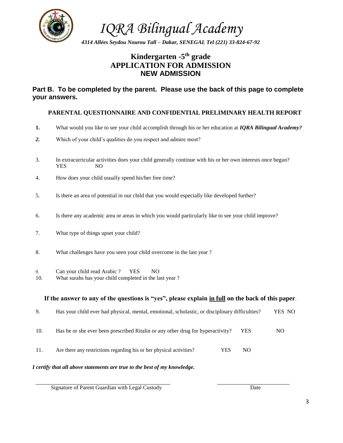

*4314 Allées Seydou Nourou Tall – Dakar, SENEGAL Tel (221) 33-824-67-92*

# **Kindergarten -5 th grade APPLICATION FOR ADMISSION NEW ADMISSION**

### **Part B. To be completed by the parent. Please use the back of this page to complete your answers.**

### **PARENTAL QUESTIONNAIRE AND CONFIDENTIAL PRELIMINARY HEALTH REPORT**

- **1.** What would you like to see your child accomplish through his or her education at *IQRA Bilingual Academy?*
- *2.* Which of your child's qualities do you respect and admire most?
- 3. In extracurricular activities does your child generally continue with his or her own interests once begun? YES NO
- 4. How does your child usually spend his/her free time?
- 5. Is there an area of potential in our child that you would especially like developed further?
- 6. Is there any academic area or areas in which you would particularly like to see your child improve?
- 7. What type of things upset your child?
- 8. What challenges have you seen your child overcome in the last year ?
- 9. Can your child read Arabic ? YES NO
- 10. What surahs has your child completed in the last year ?

### **If the answer to any of the questions is "yes", please explain in full on the back of this paper**.

| 9.   | Has your child ever had physical, mental, emotional, scholastic, or disciplinary difficulties? |      | YES NO |
|------|------------------------------------------------------------------------------------------------|------|--------|
| 10.  | Has he or she ever been prescribed Ritalin or any other drug for hyperactivity?                | YES. | NO.    |
| -11. | Are there any restrictions regarding his or her physical activities?<br>YES                    | NO.  |        |

### *I certify that all above statements are true to the best of my knowledge.*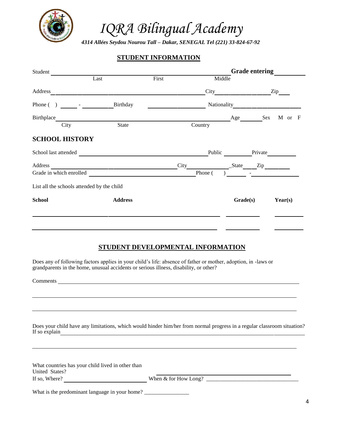

*4314 Allées Seydou Nourou Tall – Dakar, SENEGAL Tel (221) 33-824-67-92*

### **STUDENT INFORMATION**

| Student               |                                                   |       |         |          | <b>Grade entering</b> |         |     |
|-----------------------|---------------------------------------------------|-------|---------|----------|-----------------------|---------|-----|
|                       | Last                                              | First |         | Middle   |                       |         |     |
| Address               |                                                   |       |         |          |                       | Zip     |     |
|                       | Birthday                                          |       |         |          |                       |         |     |
| Birthplace            |                                                   |       |         |          | Age Sex               | M or    | – F |
| City                  | State                                             |       | Country |          |                       |         |     |
| <b>SCHOOL HISTORY</b> |                                                   |       |         |          |                       |         |     |
| School last attended  |                                                   |       |         | Public   | Private               |         |     |
| Address               | <u> 1980 - Johann Barbara, martxa alemaniar a</u> |       |         |          |                       |         |     |
|                       | Grade in which enrolled                           |       | Phone ( |          |                       |         |     |
|                       | List all the schools attended by the child        |       |         |          |                       |         |     |
| <b>School</b>         | <b>Address</b>                                    |       |         | Grade(s) |                       | Year(s) |     |
|                       |                                                   |       |         |          |                       |         |     |
|                       |                                                   |       |         |          |                       |         |     |
|                       |                                                   |       |         |          |                       |         |     |

### **STUDENT DEVELOPMENTAL INFORMATION**

Does any of following factors applies in your child's life: absence of father or mother, adoption, in -laws or grandparents in the home, unusual accidents or serious illness, disability, or other?

Comments **Comments** 

Does your child have any limitations, which would hinder him/her from normal progress in a regular classroom situation? If so explain

| What countries has your child lived in other than |                        |  |
|---------------------------------------------------|------------------------|--|
| United States?                                    |                        |  |
| If so, Where?                                     | When $&$ for How Long? |  |

What is the predominant language in your home? \_\_\_\_\_\_\_\_\_\_\_\_\_\_\_\_\_\_\_\_\_\_\_\_\_\_\_\_\_\_\_\_\_\_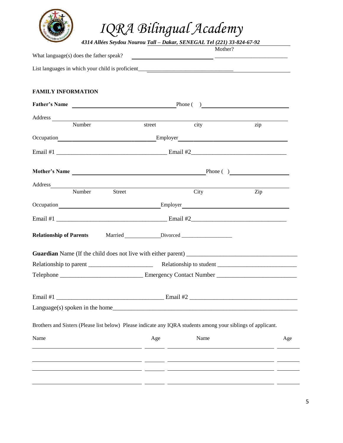

*4314 Allées Seydou Nourou Tall – Dakar, SENEGAL Tel (221) 33-824-67-92*

|        | Mother? |                                                                                                                                                                                                                                                                                                                                                                                                                                                                       |
|--------|---------|-----------------------------------------------------------------------------------------------------------------------------------------------------------------------------------------------------------------------------------------------------------------------------------------------------------------------------------------------------------------------------------------------------------------------------------------------------------------------|
|        |         |                                                                                                                                                                                                                                                                                                                                                                                                                                                                       |
|        |         |                                                                                                                                                                                                                                                                                                                                                                                                                                                                       |
|        |         |                                                                                                                                                                                                                                                                                                                                                                                                                                                                       |
|        |         |                                                                                                                                                                                                                                                                                                                                                                                                                                                                       |
|        |         |                                                                                                                                                                                                                                                                                                                                                                                                                                                                       |
|        |         |                                                                                                                                                                                                                                                                                                                                                                                                                                                                       |
| street | city    | zip                                                                                                                                                                                                                                                                                                                                                                                                                                                                   |
|        |         |                                                                                                                                                                                                                                                                                                                                                                                                                                                                       |
|        |         |                                                                                                                                                                                                                                                                                                                                                                                                                                                                       |
|        |         | Phone ( )                                                                                                                                                                                                                                                                                                                                                                                                                                                             |
|        |         |                                                                                                                                                                                                                                                                                                                                                                                                                                                                       |
|        | City    | Zip                                                                                                                                                                                                                                                                                                                                                                                                                                                                   |
|        |         |                                                                                                                                                                                                                                                                                                                                                                                                                                                                       |
|        |         |                                                                                                                                                                                                                                                                                                                                                                                                                                                                       |
|        |         |                                                                                                                                                                                                                                                                                                                                                                                                                                                                       |
|        |         |                                                                                                                                                                                                                                                                                                                                                                                                                                                                       |
|        |         |                                                                                                                                                                                                                                                                                                                                                                                                                                                                       |
|        |         |                                                                                                                                                                                                                                                                                                                                                                                                                                                                       |
|        |         |                                                                                                                                                                                                                                                                                                                                                                                                                                                                       |
|        |         |                                                                                                                                                                                                                                                                                                                                                                                                                                                                       |
|        |         |                                                                                                                                                                                                                                                                                                                                                                                                                                                                       |
| Age    | Name    | Age                                                                                                                                                                                                                                                                                                                                                                                                                                                                   |
|        |         |                                                                                                                                                                                                                                                                                                                                                                                                                                                                       |
|        |         |                                                                                                                                                                                                                                                                                                                                                                                                                                                                       |
|        |         |                                                                                                                                                                                                                                                                                                                                                                                                                                                                       |
|        |         | <u> 1980 - Andrea Andrew Maria (h. 1980).</u><br>List languages in which your child is proficient_________________________________<br>Father's Name Phone ( )<br>Mother's Name<br>Employer<br><u>Employer</u><br>Brothers and Sisters (Please list below) Please indicate any IQRA students among your siblings of applicant.<br><u> 2000 - Andrea Andrew Amerikaanse Amerikaanse konstantinoplebing († 2001)</u><br><u> 2001 - Andrea Andrew Alexandro (h. 1952)</u> |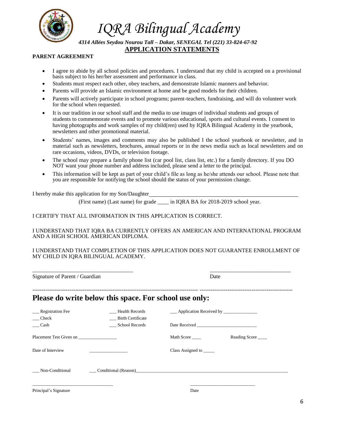

*4314 Allées Seydou Nourou Tall – Dakar, SENEGAL Tel (221) 33-824-67-92* **APPLICATION STATEMENTS**

#### **PARENT AGREEMENT**

- I agree to abide by all school policies and procedures. I understand that my child is accepted on a provisional basis subject to his her/her assessment and performance in class.
- Students must respect each other, obey teachers, and demonstrate Islamic manners and behavior.
- Parents will provide an Islamic environment at home and be good models for their children.
- Parents will actively participate in school programs; parent-teachers, fundraising, and will do volunteer work for the school when requested.
- It is our tradition in our school staff and the media to use images of individual students and groups of students to commemorate events and to promote various educational, sports and cultural events. I consent to having photographs and work samples of my child(ren) used by IQRA Bilingual Academy in the yearbook, newsletters and other promotional material.
- Students' names, images and comments may also be published I the school yearbook or newsletter, and in material such as newsletters, brochures, annual reports or in the news media such as local newsletters and on rare occasions, videos, DVDs, or television footage.
- The school may prepare a family phone list (car pool list, class list, etc.) for a family directory. If you DO NOT want your phone number and address included, please send a letter to the principal.
- This information will be kept as part of your child's file as long as he/she attends our school. Please note that you are responsible for notifying the school should the status of your permission change.

I hereby make this application for my Son/Daughter

(First name) (Last name) for grade \_\_\_\_ in IQRA BA for 2018-2019 school year.

#### I CERTIFY THAT ALL INFORMATION IN THIS APPLICATION IS CORRECT.

#### I UNDERSTAND THAT IQRA BA CURRENTLY OFFERS AN AMERICAN AND INTERNATIONAL PROGRAM AND A HIGH SCHOOL AMERICAN DIPLOMA.

#### I UNDERSTAND THAT COMPLETION OF THIS APPLICATION DOES NOT GUARANTEE ENROLLMENT OF MY CHILD IN IQRA BILINGUAL ACADEMY.

\_\_\_\_\_\_\_\_\_\_\_\_\_\_\_\_\_\_\_\_\_\_\_\_\_\_\_\_\_\_\_\_\_\_\_\_ \_\_\_\_\_\_\_\_\_\_\_\_\_\_\_\_\_\_\_\_\_\_\_\_\_\_\_\_\_ Signature of Parent / Guardian Date ----------------------------------------------------------------------------------------- -------------------------------------------------- **Please do write below this space. For school use only:** \_\_\_ Registration Fee \_\_\_ Health Records \_\_\_ Application Received by \_\_\_\_\_\_\_\_\_\_\_\_\_\_\_ \_\_\_ Check \_\_\_ Birth Certificate \_\_\_ Cash \_\_\_ School Records Date Received \_\_\_\_\_\_\_\_\_\_\_\_\_\_\_\_\_\_\_\_\_\_\_\_\_\_\_ Placement Test Given on \_\_\_\_\_\_\_\_\_\_\_\_\_\_\_\_\_ Math Score \_\_\_\_ Reading Score \_\_\_\_ Date of Interview \_\_\_\_\_\_\_\_\_\_\_\_\_\_\_\_\_ Class Assigned to \_\_\_\_\_ Non-Conditional Conditional (Reason) \_\_\_\_\_\_\_\_\_\_\_\_\_\_\_\_\_\_\_\_\_\_\_\_\_\_\_\_\_\_\_\_\_\_\_\_ \_\_\_\_\_\_\_\_\_\_\_\_\_\_\_\_\_\_\_\_\_\_\_\_\_\_\_\_\_ Principal's Signature Date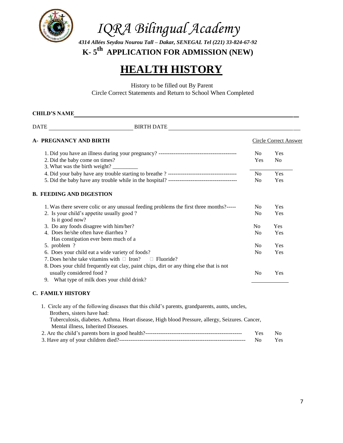

*4314 Allées Seydou Nourou Tall – Dakar, SENEGAL Tel (221) 33-824-67-92* **K- 5 th APPLICATION FOR ADMISSION (NEW)**

# **HEALTH HISTORY**

History to be filled out By Parent Circle Correct Statements and Return to School When Completed

## **CHILD'S NAME**

DATE BIRTH DATE

| A- PREGNANCY AND BIRTH                                                                  |                | Circle Correct Answer |
|-----------------------------------------------------------------------------------------|----------------|-----------------------|
|                                                                                         | N <sub>o</sub> | Yes                   |
| 2. Did the baby come on times?                                                          | Yes            | N <sub>0</sub>        |
| 3. What was the birth weight?                                                           |                |                       |
|                                                                                         | N <sub>0</sub> | <b>Yes</b>            |
|                                                                                         | N <sub>0</sub> | <b>Yes</b>            |
| B. FEEDING AND DIGESTION                                                                |                |                       |
| 1. Was there severe colic or any unusual feeding problems the first three months?-----  | N <sub>o</sub> | Yes                   |
| 2. Is your child's appetite usually good?                                               | N <sub>0</sub> | Yes                   |
| Is it good now?                                                                         |                |                       |
| 3. Do any foods disagree with him/her?                                                  | N <sub>0</sub> | Yes                   |
| 4. Does he/she often have diarrhea?                                                     | N <sub>o</sub> | Yes                   |
| Has constipation ever been much of a                                                    |                |                       |
| 5. problem?                                                                             | N <sub>0</sub> | Yes                   |
| 6. Does your child eat a wide variety of foods?                                         | N <sub>0</sub> | Yes                   |
| 7. Does he/she take vitamins with $\Box$ Iron?<br>$\Box$ Fluoride?                      |                |                       |
| 8. Does your child frequently eat clay, paint chips, dirt or any thing else that is not |                |                       |
| usually considered food?                                                                | N <sub>0</sub> | Yes                   |
| 9. What type of milk does your child drink?                                             |                |                       |
|                                                                                         |                |                       |

#### **C. FAMILY HISTORY**

| 1. Circle any of the following diseases that this child's parents, grandparents, aunts, uncles, |            |     |
|-------------------------------------------------------------------------------------------------|------------|-----|
| Brothers, sisters have had:                                                                     |            |     |
| Tuberculosis, diabetes. Asthma. Heart disease, High blood Pressure, allergy, Seizures. Cancer,  |            |     |
| Mental illness, Inherited Diseases.                                                             |            |     |
|                                                                                                 | <b>Yes</b> | No  |
|                                                                                                 | No         | Yes |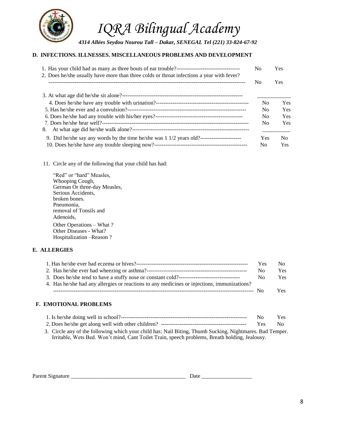

#### **D. INFECTIONS. ILLNESSES. MISCELLANEOUS PROBLEMS AND DEVELOPMENT**

|                                                                                           |                | <b>Yes</b> |  |
|-------------------------------------------------------------------------------------------|----------------|------------|--|
| 2. Does he/she usually have more than three colds or throat infections a year with fever? | No.            | Yes.       |  |
|                                                                                           |                |            |  |
|                                                                                           | N <sub>0</sub> | Yes        |  |
|                                                                                           | N <sub>0</sub> | Yes        |  |
|                                                                                           | N <sub>0</sub> | Yes        |  |
| 8.                                                                                        | N <sub>0</sub> | Yes        |  |
|                                                                                           | <b>Yes</b>     | No.        |  |
|                                                                                           | No.            | <b>Yes</b> |  |

11. Circle any of the following that your child has had:

| "Red" or "hard" Measles,     |
|------------------------------|
| Whooping Cough,              |
| German Or three-day Measles, |
| Serious Accidents.           |
| broken bones.                |
| Pneumonia,                   |
| removal of Tonsils and       |
| Adenoids,                    |
| Other Operations – What?     |
| Other Diseases - What?       |
| Hospitalization – Reason?    |

#### **E. ALLERGIES**

|                                                                                             | <b>Yes</b> | No.        |
|---------------------------------------------------------------------------------------------|------------|------------|
|                                                                                             | Nο         | <b>Yes</b> |
|                                                                                             | No         | Yes:       |
| 4. Has he/she had any allergies or reactions to any medicines or injections, immunizations? |            |            |
|                                                                                             |            | Yes.       |

#### **F. EMOTIONAL PROBLEMS**

|                                                                                                          | No. | Yes |
|----------------------------------------------------------------------------------------------------------|-----|-----|
|                                                                                                          | Yes | No. |
| 3. Circle any of the following which your child has: Nail Biting, Thumb Sucking, Nightmares. Bad Temper. |     |     |
| Irritable, Wets Bed. Won't mind, Cant Toilet Train, speech problems, Breath holding, Jealousy.           |     |     |

| <b>Parent Signature</b> |  |  |
|-------------------------|--|--|
|                         |  |  |
|                         |  |  |